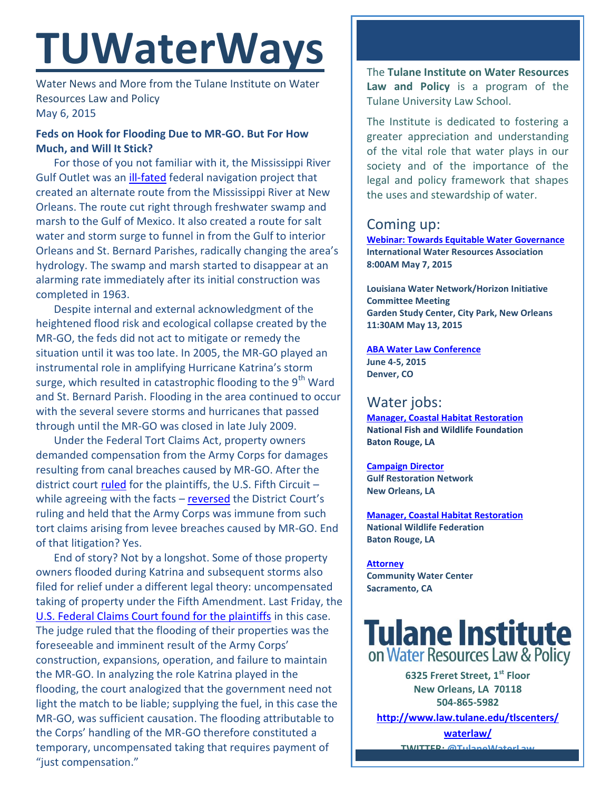# **TUWaterWays**

Water News and More from the Tulane Institute on Water Resources Law and Policy May 6, 2015

## **Feds on Hook for Flooding Due to MR-GO. But For How Much, and Will It Stick?**

For those of you not familiar with it, the Mississippi River Gulf Outlet was an [ill-fated](http://mrgomustgo.org/mississippi-river-gulf-outlet/history/frequently-asked-questions-about-the-mrgo.html) federal navigation project that created an alternate route from the Mississippi River at New Orleans. The route cut right through freshwater swamp and marsh to the Gulf of Mexico. It also created a route for salt water and storm surge to funnel in from the Gulf to interior Orleans and St. Bernard Parishes, radically changing the area's hydrology. The swamp and marsh started to disappear at an alarming rate immediately after its initial construction was completed in 1963.

Despite internal and external acknowledgment of the heightened flood risk and ecological collapse created by the MR-GO, the feds did not act to mitigate or remedy the situation until it was too late. In 2005, the MR-GO played an instrumental role in amplifying Hurricane Katrina's storm surge, which resulted in catastrophic flooding to the 9<sup>th</sup> Ward and St. Bernard Parish. Flooding in the area continued to occur with the several severe storms and hurricanes that passed through until the MR-GO was closed in late July 2009.

Under the Federal Tort Claims Act, property owners demanded compensation from the Army Corps for damages resulting from canal breaches caused by MR-GO. After the district court [ruled](http://www.laed.uscourts.gov/CanalCases/Orders/19415.pdf) for the plaintiffs, the U.S. Fifth Circuit – while agreeing with the facts – [reversed](https://www.ca5.uscourts.gov/opinions/pub/10/10-30249-CV0.wpd.pdf) the District Court's ruling and held that the Army Corps was immune from such tort claims arising from levee breaches caused by MR-GO. End of that litigation? Yes.

End of story? Not by a longshot. Some of those property owners flooded during Katrina and subsequent storms also filed for relief under a different legal theory: uncompensated taking of property under the Fifth Amendment. Last Friday, the [U.S. Federal Claims Court found for the plaintiffs](file:///C:/Users/msdavis/AppData/Local/Microsoft/Windows/Downloads/St%20Bern%20etal%20v%20US%20temp%20takings%20MRGO.pdf) in this case. The judge ruled that the flooding of their properties was the foreseeable and imminent result of the Army Corps' construction, expansions, operation, and failure to maintain the MR-GO. In analyzing the role Katrina played in the flooding, the court analogized that the government need not light the match to be liable; supplying the fuel, in this case the MR-GO, was sufficient causation. The flooding attributable to the Corps' handling of the MR-GO therefore constituted a temporary, uncompensated taking that requires payment of "just compensation."

The **Tulane Institute on Water Resources Law and Policy** is a program of the Tulane University Law School.

The Institute is dedicated to fostering a greater appreciation and understanding of the vital role that water plays in our society and of the importance of the legal and policy framework that shapes the uses and stewardship of water.

# Coming up:

**[Webinar: Towards Equitable Water Governance](https://attendee.gotowebinar.com/register/501297403664540673) International Water Resources Association 8:00AM May 7, 2015**

**Louisiana Water Network/Horizon Initiative Committee Meeting Garden Study Center, City Park, New Orleans 11:30AM May 13, 2015** 

**[ABA Water Law Conference](http://shop.americanbar.org/ebus/ABAEventsCalendar/EventDetails.aspx?productId=134956288) June 4-5, 2015 Denver, CO**

# Water jobs:

**[Manager, Coastal Habitat](mailto:CWPPRA%20Newsflash%20%3cCWPPRA@nwrccom.cr.usgs.gov%3e) Restoration National Fish and Wildlife Foundation Baton Rouge, LA**

**[Campaign Director](http://healthygulf.org/who-we-are/jobs/campaign-director) Gulf Restoration Network New Orleans, LA**

**[Manager, Coastal Habitat Restoration](http://www.nfwf.org/whoweare/careers/Pages/manager-coastal.aspx#.VUorEo5Vikp) National Wildlife Federation Baton Rouge, LA**

**[Attorney](http://www.communitywatercenter.org/career_opportunities) Community Water Center Sacramento, CA**

**Tulane Institute** on Water Resources Law & Policy

**6325 Freret Street, 1st Floor New Orleans, LA 70118 504-865-5982 [http://www.law.tulane.edu/tlscenters/](http://www.law.tulane.edu/tlscenters/waterlaw/)**

> **[waterlaw/](http://www.law.tulane.edu/tlscenters/waterlaw/) TWITTER: [@TulaneWaterLaw](http://www.twitter.com/TulaneWaterLaw)**